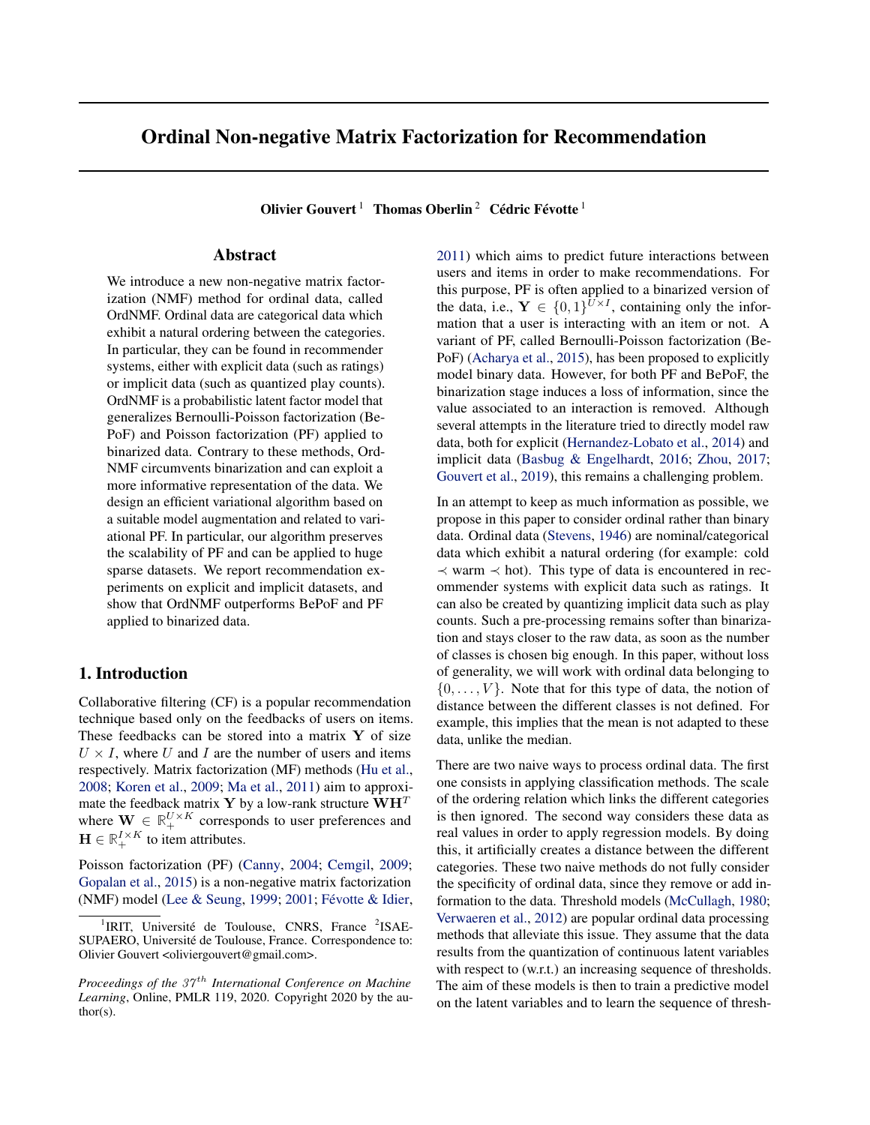# <span id="page-0-0"></span>Ordinal Non-negative Matrix Factorization for Recommendation

Olivier Gouvert<sup>1</sup> Thomas Oberlin<sup>2</sup> Cédric Févotte<sup>1</sup>

## Abstract

We introduce a new non-negative matrix factorization (NMF) method for ordinal data, called OrdNMF. Ordinal data are categorical data which exhibit a natural ordering between the categories. In particular, they can be found in recommender systems, either with explicit data (such as ratings) or implicit data (such as quantized play counts). OrdNMF is a probabilistic latent factor model that generalizes Bernoulli-Poisson factorization (Be-PoF) and Poisson factorization (PF) applied to binarized data. Contrary to these methods, Ord-NMF circumvents binarization and can exploit a more informative representation of the data. We design an efficient variational algorithm based on a suitable model augmentation and related to variational PF. In particular, our algorithm preserves the scalability of PF and can be applied to huge sparse datasets. We report recommendation experiments on explicit and implicit datasets, and show that OrdNMF outperforms BePoF and PF applied to binarized data.

# 1. Introduction

Collaborative filtering (CF) is a popular recommendation technique based only on the feedbacks of users on items. These feedbacks can be stored into a matrix  $Y$  of size  $U \times I$ , where U and I are the number of users and items respectively. Matrix factorization (MF) methods [\(Hu et al.,](#page-8-0) [2008;](#page-8-0) [Koren et al.,](#page-8-0) [2009;](#page-8-0) [Ma et al.,](#page-9-0) [2011\)](#page-9-0) aim to approximate the feedback matrix Y by a low-rank structure  $\mathbf{W}\mathbf{H}^T$ where  $\mathbf{W} \in \mathbb{R}_+^{U \times K}$  corresponds to user preferences and  $\mathbf{H} \in \mathbb{R}_+^{I \times K}$  to item attributes.

Poisson factorization (PF) [\(Canny,](#page-8-0) [2004;](#page-8-0) [Cemgil,](#page-8-0) [2009;](#page-8-0) [Gopalan et al.,](#page-8-0) [2015\)](#page-8-0) is a non-negative matrix factorization (NMF) model [\(Lee & Seung,](#page-8-0) [1999;](#page-8-0) [2001;](#page-9-0) [Févotte & Idier,](#page-8-0) [2011\)](#page-8-0) which aims to predict future interactions between users and items in order to make recommendations. For this purpose, PF is often applied to a binarized version of the data, i.e.,  $Y \in \{0,1\}^{U \times I}$ , containing only the information that a user is interacting with an item or not. A variant of PF, called Bernoulli-Poisson factorization (Be-PoF) [\(Acharya et al.,](#page-8-0) [2015\)](#page-8-0), has been proposed to explicitly model binary data. However, for both PF and BePoF, the binarization stage induces a loss of information, since the value associated to an interaction is removed. Although several attempts in the literature tried to directly model raw data, both for explicit [\(Hernandez-Lobato et al.,](#page-8-0) [2014\)](#page-8-0) and implicit data [\(Basbug & Engelhardt,](#page-8-0) [2016;](#page-8-0) [Zhou,](#page-9-0) [2017;](#page-9-0) [Gouvert et al.,](#page-8-0) [2019\)](#page-8-0), this remains a challenging problem.

In an attempt to keep as much information as possible, we propose in this paper to consider ordinal rather than binary data. Ordinal data [\(Stevens,](#page-9-0) [1946\)](#page-9-0) are nominal/categorical data which exhibit a natural ordering (for example: cold  $\prec$  warm  $\prec$  hot). This type of data is encountered in recommender systems with explicit data such as ratings. It can also be created by quantizing implicit data such as play counts. Such a pre-processing remains softer than binarization and stays closer to the raw data, as soon as the number of classes is chosen big enough. In this paper, without loss of generality, we will work with ordinal data belonging to  $\{0, \ldots, V\}$ . Note that for this type of data, the notion of distance between the different classes is not defined. For example, this implies that the mean is not adapted to these data, unlike the median.

There are two naive ways to process ordinal data. The first one consists in applying classification methods. The scale of the ordering relation which links the different categories is then ignored. The second way considers these data as real values in order to apply regression models. By doing this, it artificially creates a distance between the different categories. These two naive methods do not fully consider the specificity of ordinal data, since they remove or add information to the data. Threshold models [\(McCullagh,](#page-9-0) [1980;](#page-9-0) [Verwaeren et al.,](#page-9-0) [2012\)](#page-9-0) are popular ordinal data processing methods that alleviate this issue. They assume that the data results from the quantization of continuous latent variables with respect to (w.r.t.) an increasing sequence of thresholds. The aim of these models is then to train a predictive model on the latent variables and to learn the sequence of thresh-

<sup>&</sup>lt;sup>1</sup>IRIT, Université de Toulouse, CNRS, France <sup>2</sup>ISAE-SUPAERO, Université de Toulouse, France. Correspondence to: Olivier Gouvert <oliviergouvert@gmail.com>.

*Proceedings of the 37<sup>th</sup> International Conference on Machine Learning*, Online, PMLR 119, 2020. Copyright 2020 by the author(s).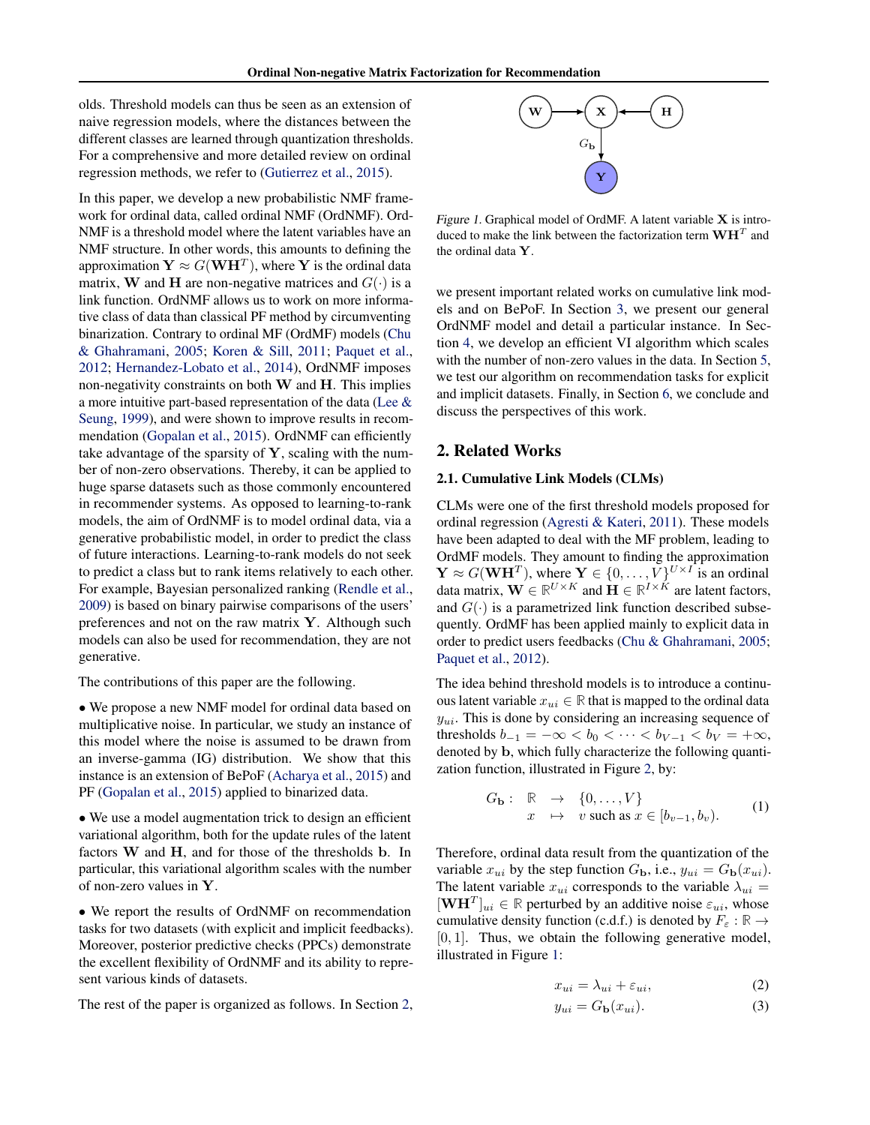<span id="page-1-0"></span>olds. Threshold models can thus be seen as an extension of naive regression models, where the distances between the different classes are learned through quantization thresholds. For a comprehensive and more detailed review on ordinal regression methods, we refer to [\(Gutierrez et al.,](#page-8-0) [2015\)](#page-8-0).

In this paper, we develop a new probabilistic NMF framework for ordinal data, called ordinal NMF (OrdNMF). Ord-NMF is a threshold model where the latent variables have an NMF structure. In other words, this amounts to defining the approximation  $\mathbf{Y} \approx G(\mathbf{W}\mathbf{H}^T)$ , where  $\mathbf{Y}$  is the ordinal data matrix, W and H are non-negative matrices and  $G(\cdot)$  is a link function. OrdNMF allows us to work on more informative class of data than classical PF method by circumventing binarization. Contrary to ordinal MF (OrdMF) models [\(Chu](#page-8-0) [& Ghahramani,](#page-8-0) [2005;](#page-8-0) [Koren & Sill,](#page-8-0) [2011;](#page-8-0) [Paquet et al.,](#page-9-0) [2012;](#page-9-0) [Hernandez-Lobato et al.,](#page-8-0) [2014\)](#page-8-0), OrdNMF imposes non-negativity constraints on both  $W$  and  $H$ . This implies a more intuitive part-based representation of the data [\(Lee &](#page-8-0) [Seung,](#page-8-0) [1999\)](#page-8-0), and were shown to improve results in recommendation [\(Gopalan et al.,](#page-8-0) [2015\)](#page-8-0). OrdNMF can efficiently take advantage of the sparsity of  $Y$ , scaling with the number of non-zero observations. Thereby, it can be applied to huge sparse datasets such as those commonly encountered in recommender systems. As opposed to learning-to-rank models, the aim of OrdNMF is to model ordinal data, via a generative probabilistic model, in order to predict the class of future interactions. Learning-to-rank models do not seek to predict a class but to rank items relatively to each other. For example, Bayesian personalized ranking [\(Rendle et al.,](#page-9-0) [2009\)](#page-9-0) is based on binary pairwise comparisons of the users' preferences and not on the raw matrix Y. Although such models can also be used for recommendation, they are not generative.

The contributions of this paper are the following.

• We propose a new NMF model for ordinal data based on multiplicative noise. In particular, we study an instance of this model where the noise is assumed to be drawn from an inverse-gamma (IG) distribution. We show that this instance is an extension of BePoF [\(Acharya et al.,](#page-8-0) [2015\)](#page-8-0) and PF [\(Gopalan et al.,](#page-8-0) [2015\)](#page-8-0) applied to binarized data.

• We use a model augmentation trick to design an efficient variational algorithm, both for the update rules of the latent factors W and H, and for those of the thresholds b. In particular, this variational algorithm scales with the number of non-zero values in Y.

• We report the results of OrdNMF on recommendation tasks for two datasets (with explicit and implicit feedbacks). Moreover, posterior predictive checks (PPCs) demonstrate the excellent flexibility of OrdNMF and its ability to represent various kinds of datasets.

The rest of the paper is organized as follows. In Section 2,



Figure 1. Graphical model of OrdMF. A latent variable  $X$  is introduced to make the link between the factorization term  $\mathbf{WH}^T$  and the ordinal data Y.

we present important related works on cumulative link models and on BePoF. In Section [3,](#page-3-0) we present our general OrdNMF model and detail a particular instance. In Section [4,](#page-4-0) we develop an efficient VI algorithm which scales with the number of non-zero values in the data. In Section [5,](#page-6-0) we test our algorithm on recommendation tasks for explicit and implicit datasets. Finally, in Section [6,](#page-8-0) we conclude and discuss the perspectives of this work.

## 2. Related Works

#### 2.1. Cumulative Link Models (CLMs)

CLMs were one of the first threshold models proposed for ordinal regression [\(Agresti & Kateri,](#page-8-0) [2011\)](#page-8-0). These models have been adapted to deal with the MF problem, leading to OrdMF models. They amount to finding the approximation  $\mathbf{Y} \approx G(\mathbf{W} \mathbf{H}^T)$ , where  $\mathbf{Y} \in \{0, \dots, V\}^{U \times I}$  is an ordinal data matrix,  $\mathbf{W} \in \mathbb{R}^{U \times K}$  and  $\mathbf{H} \in \mathbb{R}^{I \times K}$  are latent factors, and  $G(\cdot)$  is a parametrized link function described subsequently. OrdMF has been applied mainly to explicit data in order to predict users feedbacks [\(Chu & Ghahramani,](#page-8-0) [2005;](#page-8-0) [Paquet et al.,](#page-9-0) [2012\)](#page-9-0).

The idea behind threshold models is to introduce a continuous latent variable  $x_{ui} \in \mathbb{R}$  that is mapped to the ordinal data  $y_{ui}$ . This is done by considering an increasing sequence of thresholds  $b_{-1} = -\infty < b_0 < \cdots < b_{V-1} < b_V = +\infty$ , denoted by b, which fully characterize the following quantization function, illustrated in Figure [2,](#page-2-0) by:

$$
G_{\mathbf{b}}: \mathbb{R} \to \{0, \dots, V\}
$$
  

$$
x \mapsto v \text{ such as } x \in [b_{v-1}, b_v).
$$
 (1)

Therefore, ordinal data result from the quantization of the variable  $x_{ui}$  by the step function  $G_{\mathbf{b}}$ , i.e.,  $y_{ui} = G_{\mathbf{b}}(x_{ui})$ . The latent variable  $x_{ui}$  corresponds to the variable  $\lambda_{ui} =$  $[\mathbf{W} \mathbf{H}^T]_{ui} \in \mathbb{R}$  perturbed by an additive noise  $\varepsilon_{ui}$ , whose cumulative density function (c.d.f.) is denoted by  $F_{\varepsilon} : \mathbb{R} \to$  $[0, 1]$ . Thus, we obtain the following generative model, illustrated in Figure 1:

$$
x_{ui} = \lambda_{ui} + \varepsilon_{ui},\tag{2}
$$

$$
y_{ui} = G_{\mathbf{b}}(x_{ui}).\tag{3}
$$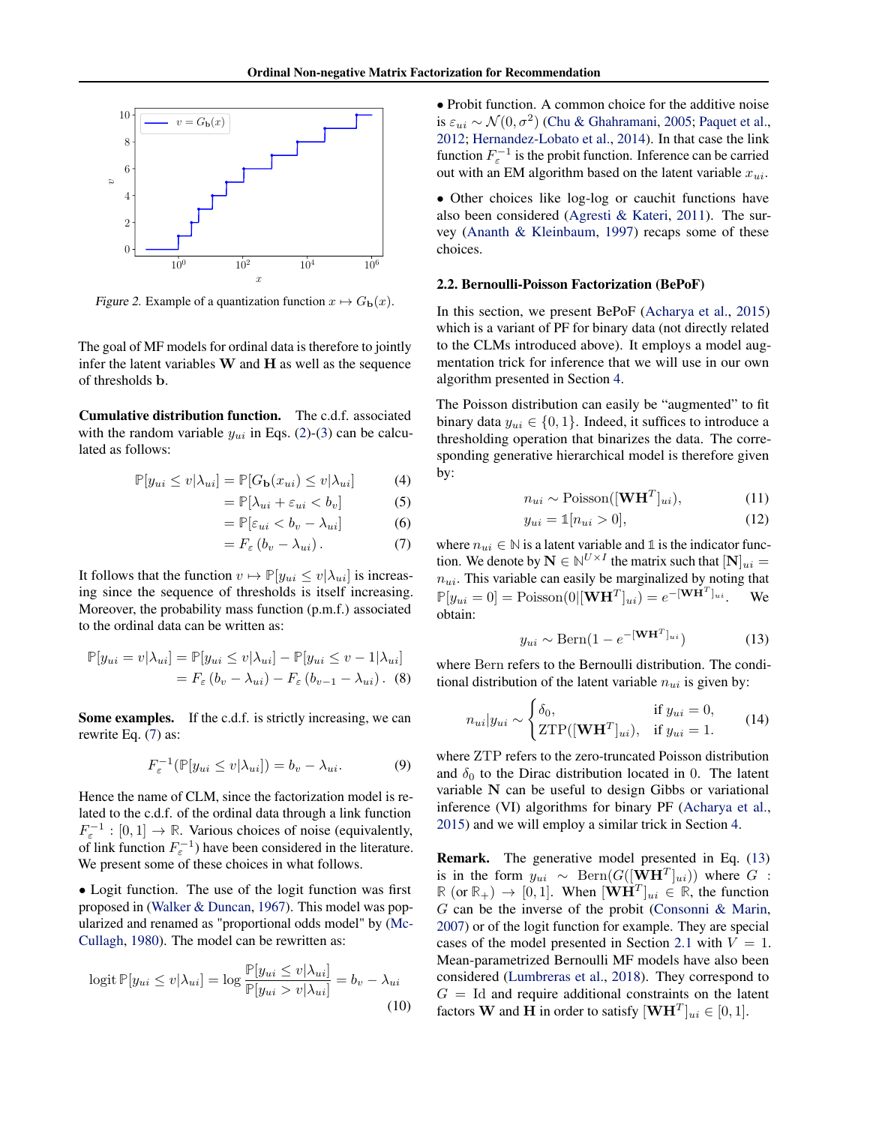<span id="page-2-0"></span>

Figure 2. Example of a quantization function  $x \mapsto G_{\mathbf{b}}(x)$ .

The goal of MF models for ordinal data is therefore to jointly infer the latent variables  $W$  and  $H$  as well as the sequence of thresholds b.

Cumulative distribution function. The c.d.f. associated with the random variable  $y_{ui}$  in Eqs. [\(2\)](#page-1-0)-[\(3\)](#page-1-0) can be calculated as follows:

$$
\mathbb{P}[y_{ui} \le v | \lambda_{ui}] = \mathbb{P}[G_{\mathbf{b}}(x_{ui}) \le v | \lambda_{ui}] \tag{4}
$$

$$
= \mathbb{P}[\lambda_{ui} + \varepsilon_{ui} < b_v] \tag{5}
$$

$$
= \mathbb{P}[\varepsilon_{ui} < b_v - \lambda_{ui}] \tag{6}
$$

$$
=F_{\varepsilon}\left(b_{v}-\lambda_{ui}\right). \tag{7}
$$

It follows that the function  $v \mapsto \mathbb{P}[y_{ui} \le v | \lambda_{ui}]$  is increasing since the sequence of thresholds is itself increasing. Moreover, the probability mass function (p.m.f.) associated to the ordinal data can be written as:

$$
\mathbb{P}[y_{ui} = v | \lambda_{ui}] = \mathbb{P}[y_{ui} \le v | \lambda_{ui}] - \mathbb{P}[y_{ui} \le v - 1 | \lambda_{ui}]
$$
  
=  $F_{\varepsilon} (b_v - \lambda_{ui}) - F_{\varepsilon} (b_{v-1} - \lambda_{ui})$ . (8)

Some examples. If the c.d.f. is strictly increasing, we can rewrite Eq. (7) as:

$$
F_{\varepsilon}^{-1}(\mathbb{P}[y_{ui} \le v | \lambda_{ui}]) = b_v - \lambda_{ui}.
$$
 (9)

Hence the name of CLM, since the factorization model is related to the c.d.f. of the ordinal data through a link function  $F_{\varepsilon}^{-1} : [0, 1] \to \mathbb{R}$ . Various choices of noise (equivalently, of link function  $F_{\varepsilon}^{-1}$ ) have been considered in the literature. We present some of these choices in what follows.

• Logit function. The use of the logit function was first proposed in [\(Walker & Duncan,](#page-9-0) [1967\)](#page-9-0). This model was popularized and renamed as "proportional odds model" by [\(Mc-](#page-9-0)[Cullagh,](#page-9-0) [1980\)](#page-9-0). The model can be rewritten as:

$$
logit \mathbb{P}[y_{ui} \le v | \lambda_{ui}] = log \frac{\mathbb{P}[y_{ui} \le v | \lambda_{ui}]}{\mathbb{P}[y_{ui} > v | \lambda_{ui}]} = b_v - \lambda_{ui}
$$
\n(10)

• Probit function. A common choice for the additive noise is  $\varepsilon_{ui} \sim \mathcal{N}(0, \sigma^2)$  [\(Chu & Ghahramani,](#page-8-0) [2005;](#page-8-0) [Paquet et al.,](#page-9-0) [2012;](#page-9-0) [Hernandez-Lobato et al.,](#page-8-0) [2014\)](#page-8-0). In that case the link function  $F_{\varepsilon}^{-1}$  is the probit function. Inference can be carried out with an EM algorithm based on the latent variable  $x_{ui}$ .

• Other choices like log-log or cauchit functions have also been considered [\(Agresti & Kateri,](#page-8-0) [2011\)](#page-8-0). The survey [\(Ananth & Kleinbaum,](#page-8-0) [1997\)](#page-8-0) recaps some of these choices.

## 2.2. Bernoulli-Poisson Factorization (BePoF)

In this section, we present BePoF [\(Acharya et al.,](#page-8-0) [2015\)](#page-8-0) which is a variant of PF for binary data (not directly related to the CLMs introduced above). It employs a model augmentation trick for inference that we will use in our own algorithm presented in Section [4.](#page-4-0)

The Poisson distribution can easily be "augmented" to fit binary data  $y_{ui} \in \{0, 1\}$ . Indeed, it suffices to introduce a thresholding operation that binarizes the data. The corresponding generative hierarchical model is therefore given by:

$$
n_{ui} \sim \text{Poisson}([\mathbf{W}\mathbf{H}^T]_{ui}),\tag{11}
$$

$$
y_{ui} = \mathbb{1}[n_{ui} > 0],\tag{12}
$$

where  $n_{ui} \in \mathbb{N}$  is a latent variable and 1 is the indicator function. We denote by  $\mathbf{N} \in \mathbb{N}^{U \times I}$  the matrix such that  $[\mathbf{N}]_{ui} =$  $n_{ui}$ . This variable can easily be marginalized by noting that  $\mathbb{P}[y_{ui} = 0] = \text{Poisson}(0 | [\mathbf{W} \mathbf{H}^T]_{ui}) = e^{-[\mathbf{W} \mathbf{H}^T]_{ui}}.$  We obtain:

$$
y_{ui} \sim \text{Bern}(1 - e^{-\left[\mathbf{W}\mathbf{H}^T\right]_{ui}})
$$
 (13)

where Bern refers to the Bernoulli distribution. The conditional distribution of the latent variable  $n_{ui}$  is given by:

$$
n_{ui}|y_{ui} \sim \begin{cases} \delta_0, & \text{if } y_{ui} = 0, \\ \text{ZTP}([\mathbf{WH}^T]_{ui}), & \text{if } y_{ui} = 1. \end{cases}
$$
 (14)

where ZTP refers to the zero-truncated Poisson distribution and  $\delta_0$  to the Dirac distribution located in 0. The latent variable N can be useful to design Gibbs or variational inference (VI) algorithms for binary PF [\(Acharya et al.,](#page-8-0) [2015\)](#page-8-0) and we will employ a similar trick in Section [4.](#page-4-0)

Remark. The generative model presented in Eq. (13) is in the form  $y_{ui} \sim \text{Bern}(G([\mathbf{W}\mathbf{H}^T]_{ui}))$  where  $G$ :  $\mathbb{R}$  (or  $\mathbb{R}_+$ )  $\rightarrow$  [0, 1]. When  $[\mathbf{WH}^T]_{ui} \in \mathbb{R}$ , the function  $G$  can be the inverse of the probit [\(Consonni & Marin,](#page-8-0) [2007\)](#page-8-0) or of the logit function for example. They are special cases of the model presented in Section [2.1](#page-1-0) with  $V = 1$ . Mean-parametrized Bernoulli MF models have also been considered [\(Lumbreras et al.,](#page-9-0) [2018\)](#page-9-0). They correspond to  $G = Id$  and require additional constraints on the latent factors **W** and **H** in order to satisfy  $[\mathbf{WH}^T]_{ui} \in [0, 1]$ .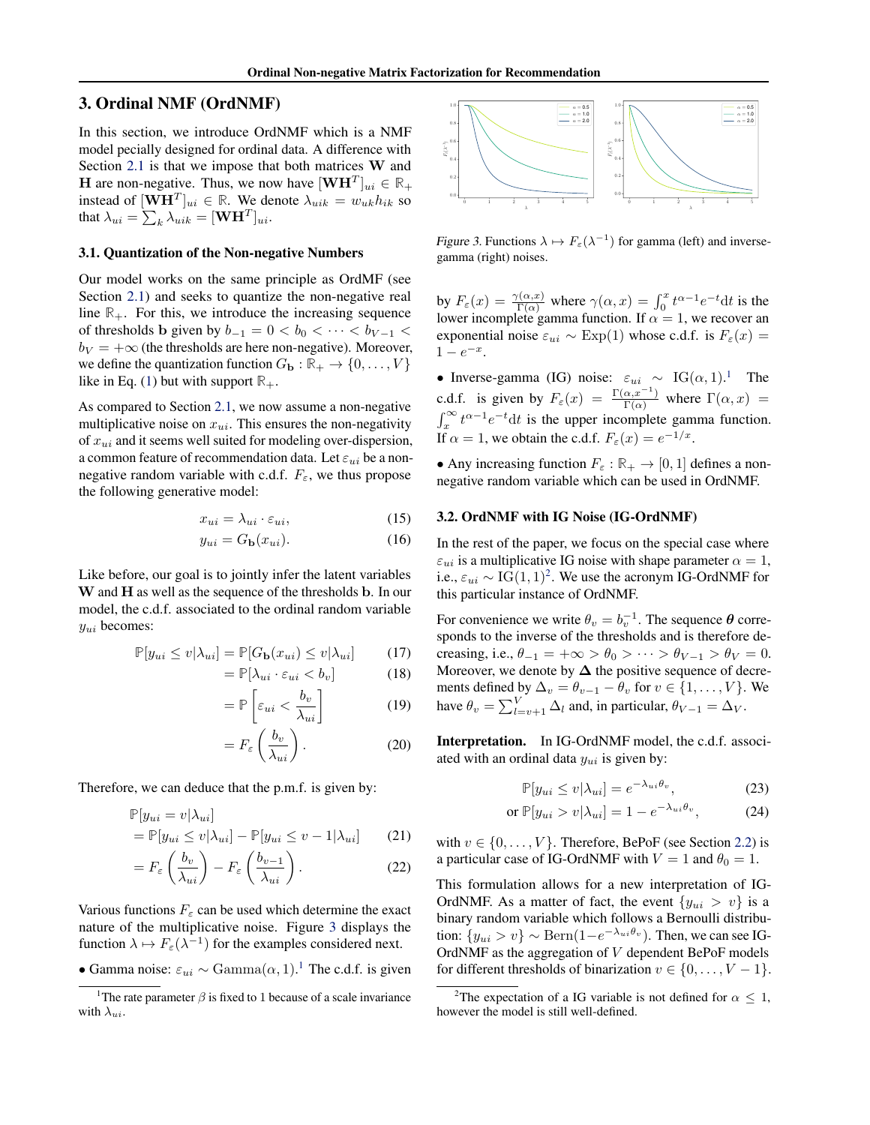# <span id="page-3-0"></span>3. Ordinal NMF (OrdNMF)

In this section, we introduce OrdNMF which is a NMF model pecially designed for ordinal data. A difference with Section [2.1](#page-1-0) is that we impose that both matrices W and **H** are non-negative. Thus, we now have  $[\mathbf{WH}^T]_{ui} \in \mathbb{R}_+$ instead of  $[\mathbf{W}\mathbf{H}^T]_{ui} \in \mathbb{R}$ . We denote  $\lambda_{uik} = w_{uk}h_{ik}$  so that  $\lambda_{ui} = \sum_k \lambda_{uik} = [\mathbf{W}\mathbf{H}^T]_{ui}.$ 

#### 3.1. Quantization of the Non-negative Numbers

Our model works on the same principle as OrdMF (see Section [2.1\)](#page-1-0) and seeks to quantize the non-negative real line  $\mathbb{R}_+$ . For this, we introduce the increasing sequence of thresholds b given by  $b_{-1} = 0 < b_0 < \cdots < b_{V-1} <$  $b_V = +\infty$  (the thresholds are here non-negative). Moreover, we define the quantization function  $G_{\mathbf{b}} : \mathbb{R}_+ \to \{0, \ldots, V\}$ like in Eq. [\(1\)](#page-1-0) but with support  $\mathbb{R}_+$ .

As compared to Section [2.1,](#page-1-0) we now assume a non-negative multiplicative noise on  $x_{ui}$ . This ensures the non-negativity of  $x_{ui}$  and it seems well suited for modeling over-dispersion, a common feature of recommendation data. Let  $\varepsilon_{ui}$  be a nonnegative random variable with c.d.f.  $F_{\varepsilon}$ , we thus propose the following generative model:

$$
x_{ui} = \lambda_{ui} \cdot \varepsilon_{ui},\tag{15}
$$

$$
y_{ui} = G_{\mathbf{b}}(x_{ui}).\tag{16}
$$

Like before, our goal is to jointly infer the latent variables W and H as well as the sequence of the thresholds b. In our model, the c.d.f. associated to the ordinal random variable  $y_{ui}$  becomes:

$$
\mathbb{P}[y_{ui} \le v | \lambda_{ui}] = \mathbb{P}[G_{\mathbf{b}}(x_{ui}) \le v | \lambda_{ui}] \tag{17}
$$

$$
= \mathbb{P}[\lambda_{ui} \cdot \varepsilon_{ui} < b_v] \tag{18}
$$

$$
= \mathbb{P}\left[\varepsilon_{ui} < \frac{b_v}{\lambda_{ui}}\right] \tag{19}
$$

$$
=F_{\varepsilon}\left(\frac{b_v}{\lambda_{ui}}\right). \tag{20}
$$

Therefore, we can deduce that the p.m.f. is given by:

$$
\mathbb{P}[y_{ui} = v | \lambda_{ui}]
$$
  
=  $\mathbb{P}[y_{ui} \le v | \lambda_{ui}] - \mathbb{P}[y_{ui} \le v - 1 | \lambda_{ui}]$  (21)

$$
=F_{\varepsilon}\left(\frac{b_v}{\lambda_{ui}}\right)-F_{\varepsilon}\left(\frac{b_{v-1}}{\lambda_{ui}}\right).
$$
 (22)

Various functions  $F_{\varepsilon}$  can be used which determine the exact nature of the multiplicative noise. Figure 3 displays the function  $\lambda \mapsto F_{\varepsilon}(\lambda^{-1})$  for the examples considered next.

• Gamma noise:  $\varepsilon_{ui} \sim \text{Gamma}(\alpha, 1)$ .<sup>1</sup> The c.d.f. is given



Figure 3. Functions  $\lambda \mapsto F_{\varepsilon}(\lambda^{-1})$  for gamma (left) and inversegamma (right) noises.

by  $F_{\varepsilon}(x) = \frac{\gamma(\alpha, x)}{\Gamma(\alpha)}$  where  $\gamma(\alpha, x) = \int_0^x t^{\alpha-1} e^{-t} dt$  is the lower incomplete gamma function. If  $\alpha = 1$ , we recover an exponential noise  $\varepsilon_{ui} \sim \text{Exp}(1)$  whose c.d.f. is  $F_{\varepsilon}(x) =$  $1 - e^{-x}$ .

• Inverse-gamma (IG) noise:  $\varepsilon_{ui} \sim IG(\alpha, 1)$  $\varepsilon_{ui} \sim IG(\alpha, 1)$  $\varepsilon_{ui} \sim IG(\alpha, 1)$ .<sup>1</sup> The c.d.f. is given by  $F_{\varepsilon}(x) = \frac{\Gamma(\alpha, x^{-1})}{\Gamma(\alpha)}$  where  $\Gamma(\alpha, x) =$  $\int_x^{\infty} t^{\alpha-1} e^{-t} dt$  is the upper incomplete gamma function. If  $\alpha = 1$ , we obtain the c.d.f.  $F_{\varepsilon}(x) = e^{-1/x}$ .

• Any increasing function  $F_{\varepsilon} : \mathbb{R}_+ \to [0, 1]$  defines a nonnegative random variable which can be used in OrdNMF.

#### 3.2. OrdNMF with IG Noise (IG-OrdNMF)

In the rest of the paper, we focus on the special case where  $\varepsilon_{ui}$  is a multiplicative IG noise with shape parameter  $\alpha = 1$ , i.e.,  $\varepsilon_{ui} \sim \text{IG}(1, 1)^2$ . We use the acronym IG-OrdNMF for this particular instance of OrdNMF.

For convenience we write  $\theta_v = b_v^{-1}$ . The sequence  $\theta$  corresponds to the inverse of the thresholds and is therefore decreasing, i.e.,  $\theta_{-1} = +\infty > \theta_0 > \cdots > \theta_{V-1} > \theta_V = 0$ . Moreover, we denote by  $\Delta$  the positive sequence of decrements defined by  $\Delta_v = \theta_{v-1} - \theta_v$  for  $v \in \{1, \dots, V\}$ . We have  $\theta_v = \sum_{l=v+1}^{V} \Delta_l$  and, in particular,  $\theta_{V-1} = \Delta_V$ .

Interpretation. In IG-OrdNMF model, the c.d.f. associated with an ordinal data  $y_{ui}$  is given by:

$$
\mathbb{P}[y_{ui} \le v | \lambda_{ui}] = e^{-\lambda_{ui}\theta_v},\tag{23}
$$

$$
\text{or } \mathbb{P}[y_{ui} > v | \lambda_{ui}] = 1 - e^{-\lambda_{ui}\theta_v},\tag{24}
$$

with  $v \in \{0, \ldots, V\}$ . Therefore, BePoF (see Section [2.2\)](#page-2-0) is a particular case of IG-OrdNMF with  $V = 1$  and  $\theta_0 = 1$ .

This formulation allows for a new interpretation of IG-OrdNMF. As a matter of fact, the event  $\{y_{ui} > v\}$  is a binary random variable which follows a Bernoulli distribution:  $\{y_{ui} > v\} \sim \text{Bern}(1 - e^{-\lambda_{ui}\theta_v})$ . Then, we can see IG-OrdNMF as the aggregation of V dependent BePoF models for different thresholds of binarization  $v \in \{0, \ldots, V - 1\}$ .

<sup>&</sup>lt;sup>1</sup>The rate parameter  $\beta$  is fixed to 1 because of a scale invariance with  $\lambda_{ui}$ .

<sup>&</sup>lt;sup>2</sup>The expectation of a IG variable is not defined for  $\alpha$  < 1, however the model is still well-defined.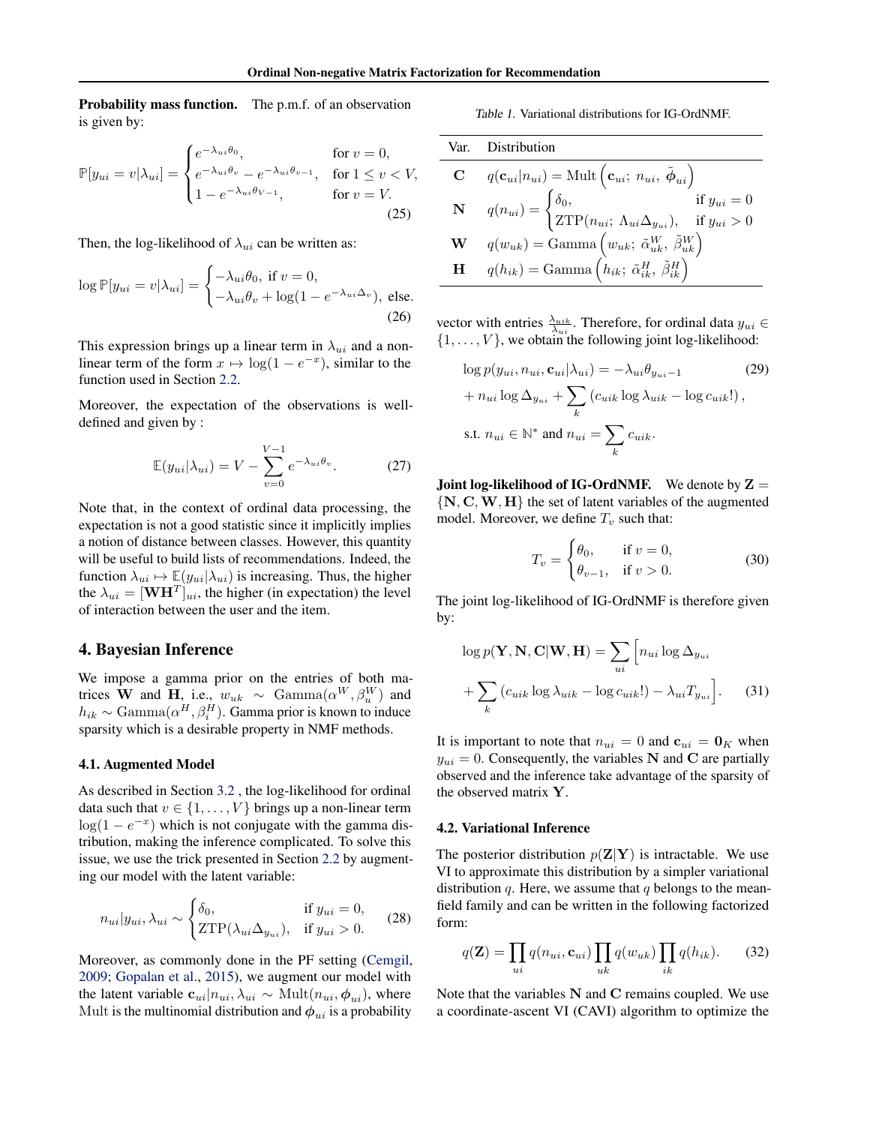<span id="page-4-0"></span>**Probability mass function.** The p.m.f. of an observation is given by:

$$
\mathbb{P}[y_{ui} = v | \lambda_{ui}] = \begin{cases} e^{-\lambda_{ui}\theta_0}, & \text{for } v = 0, \\ e^{-\lambda_{ui}\theta_v} - e^{-\lambda_{ui}\theta_{v-1}}, & \text{for } 1 \le v < V, \\ 1 - e^{-\lambda_{ui}\theta_{V-1}}, & \text{for } v = V. \end{cases}
$$
\n(25)

Then, the log-likelihood of  $\lambda_{ui}$  can be written as:

$$
\log \mathbb{P}[y_{ui} = v | \lambda_{ui}] = \begin{cases} -\lambda_{ui}\theta_0, \text{ if } v = 0, \\ -\lambda_{ui}\theta_v + \log(1 - e^{-\lambda_{ui}\Delta_v}), \text{ else.} \end{cases}
$$
(26)

This expression brings up a linear term in  $\lambda_{ui}$  and a nonlinear term of the form  $x \mapsto \log(1 - e^{-x})$ , similar to the function used in Section [2.2.](#page-2-0)

Moreover, the expectation of the observations is welldefined and given by :

$$
\mathbb{E}(y_{ui}|\lambda_{ui}) = V - \sum_{v=0}^{V-1} e^{-\lambda_{ui}\theta_v}.
$$
 (27)

Note that, in the context of ordinal data processing, the expectation is not a good statistic since it implicitly implies a notion of distance between classes. However, this quantity will be useful to build lists of recommendations. Indeed, the function  $\lambda_{ui} \mapsto \mathbb{E}(y_{ui}|\lambda_{ui})$  is increasing. Thus, the higher the  $\lambda_{ui} = [\mathbf{W} \mathbf{H}^T]_{ui}$ , the higher (in expectation) the level of interaction between the user and the item.

## 4. Bayesian Inference

We impose a gamma prior on the entries of both matrices W and H, i.e.,  $w_{uk} \sim \text{Gamma}(\alpha^W, \beta^W_u)$  and  $h_{ik} \sim \text{Gamma}(\alpha^H, \beta^H_i)$ . Gamma prior is known to induce sparsity which is a desirable property in NMF methods.

## 4.1. Augmented Model

As described in Section [3.2](#page-3-0) , the log-likelihood for ordinal data such that  $v \in \{1, \ldots, V\}$  brings up a non-linear term  $log(1 - e^{-x})$  which is not conjugate with the gamma distribution, making the inference complicated. To solve this issue, we use the trick presented in Section [2.2](#page-2-0) by augmenting our model with the latent variable:

$$
n_{ui}|y_{ui}, \lambda_{ui} \sim \begin{cases} \delta_0, & \text{if } y_{ui} = 0, \\ \text{ZTP}(\lambda_{ui}\Delta_{y_{ui}}), & \text{if } y_{ui} > 0. \end{cases}
$$
 (28)

Moreover, as commonly done in the PF setting [\(Cemgil,](#page-8-0) [2009;](#page-8-0) [Gopalan et al.,](#page-8-0) [2015\)](#page-8-0), we augment our model with the latent variable  $\mathbf{c}_{ui}|n_{ui}, \lambda_{ui} \sim \text{Mult}(n_{ui}, \phi_{ui}),$  where Mult is the multinomial distribution and  $\phi_{ui}$  is a probability

Table 1. Variational distributions for IG-OrdNMF.

|   | Var. Distribution                                                                                                                                                                                                                                                                                                    |
|---|----------------------------------------------------------------------------------------------------------------------------------------------------------------------------------------------------------------------------------------------------------------------------------------------------------------------|
|   | <b>C</b> $q(\mathbf{c}_{ui} n_{ui}) = \text{Mult}(\mathbf{c}_{ui}; n_{ui}, \tilde{\boldsymbol{\phi}}_{ui})$                                                                                                                                                                                                          |
|   | $\begin{aligned} \mathbf{N} & & q(n_{ui}) = \begin{cases} \delta_0, & \text{if } y_{ui} = 0 \\ \text{ZTP}(n_{ui}; \ \Lambda_{ui} \Delta_{y_{ui}}), & \text{if } y_{ui} > 0 \end{cases} \\ \mathbf{W} & & q(w_{uk}) = \text{Gamma}\left(w_{uk}; \ \tilde{\alpha}_{uk}^W, \ \tilde{\beta}_{uk}^W\right) \end{aligned}$ |
|   |                                                                                                                                                                                                                                                                                                                      |
| H | $q(h_{ik}) = \text{Gamma}\left(\hat{h}_{ik}; \ \tilde{\alpha}_{ik}^H, \ \tilde{\beta}_{ik}^H\right)$                                                                                                                                                                                                                 |

vector with entries  $\frac{\lambda_{uik}}{\lambda_{ui}}$ . Therefore, for ordinal data  $y_{ui} \in$  $\{1, \ldots, V\}$ , we obtain the following joint log-likelihood:

$$
\log p(y_{ui}, n_{ui}, \mathbf{c}_{ui} | \lambda_{ui}) = -\lambda_{ui} \theta_{y_{ui} - 1}
$$
\n
$$
+ n_{ui} \log \Delta_{y_{ui}} + \sum_{k} (c_{uik} \log \lambda_{uik} - \log c_{uik}!),
$$
\ns.t.  $n_{ui} \in \mathbb{N}^*$  and  $n_{ui} = \sum_{k} c_{uik}.$ 

**Joint log-likelihood of IG-OrdNMF.** We denote by  $Z =$  $\{N, C, W, H\}$  the set of latent variables of the augmented model. Moreover, we define  $T_v$  such that:

$$
T_v = \begin{cases} \theta_0, & \text{if } v = 0, \\ \theta_{v-1}, & \text{if } v > 0. \end{cases}
$$
 (30)

The joint log-likelihood of IG-OrdNMF is therefore given by:

$$
\log p(\mathbf{Y}, \mathbf{N}, \mathbf{C} | \mathbf{W}, \mathbf{H}) = \sum_{ui} \left[ n_{ui} \log \Delta_{y_{ui}} \right. \\
\left. + \sum_{k} \left( c_{uik} \log \lambda_{uik} - \log c_{uik}! \right) - \lambda_{ui} T_{y_{ui}} \right].\n\tag{31}
$$

It is important to note that  $n_{ui} = 0$  and  $\mathbf{c}_{ui} = \mathbf{0}_K$  when  $y_{ui} = 0$ . Consequently, the variables N and C are partially observed and the inference take advantage of the sparsity of the observed matrix Y.

## 4.2. Variational Inference

The posterior distribution  $p(\mathbf{Z}|\mathbf{Y})$  is intractable. We use VI to approximate this distribution by a simpler variational distribution  $q$ . Here, we assume that  $q$  belongs to the meanfield family and can be written in the following factorized form:

$$
q(\mathbf{Z}) = \prod_{ui} q(n_{ui}, \mathbf{c}_{ui}) \prod_{uk} q(w_{uk}) \prod_{ik} q(h_{ik}). \tag{32}
$$

Note that the variables N and C remains coupled. We use a coordinate-ascent VI (CAVI) algorithm to optimize the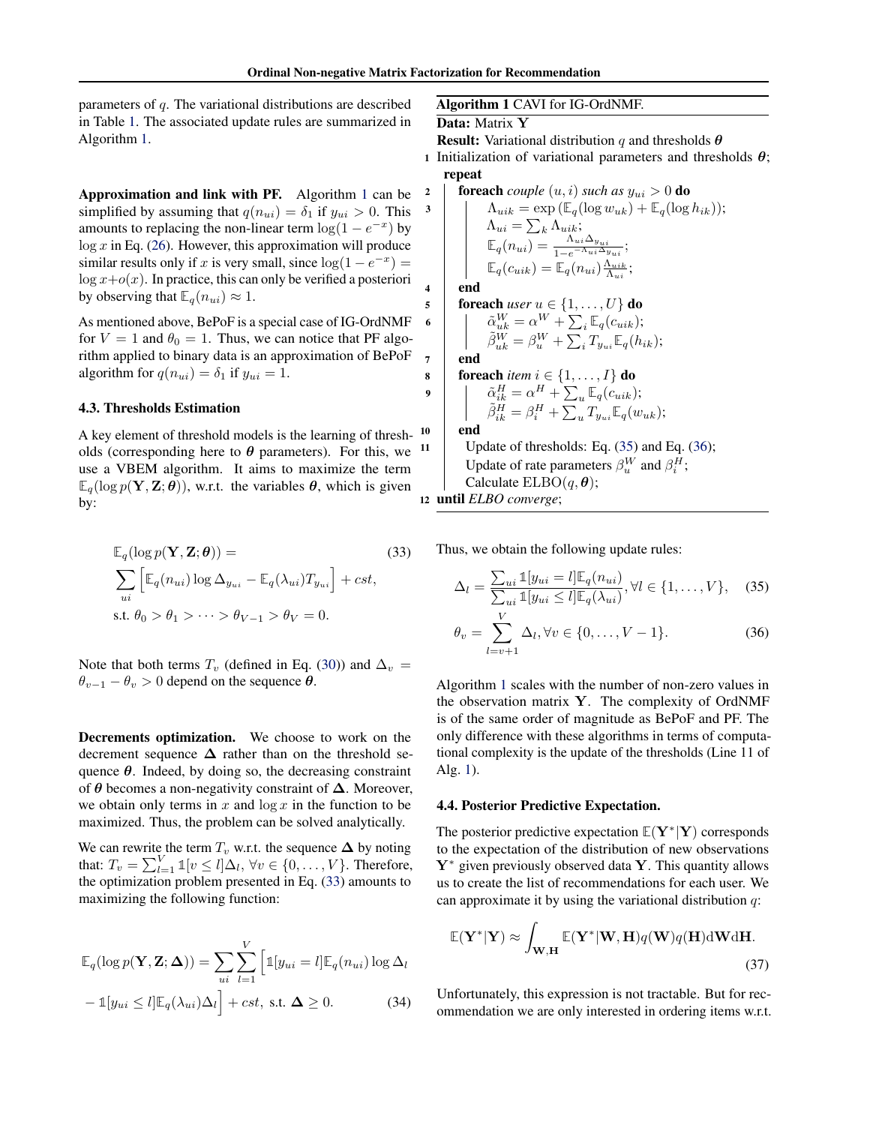<span id="page-5-0"></span>parameters of  $q$ . The variational distributions are described in Table [1.](#page-4-0) The associated update rules are summarized in Algorithm 1.

Approximation and link with PF. Algorithm 1 can be simplified by assuming that  $q(n_{ui}) = \delta_1$  if  $y_{ui} > 0$ . This amounts to replacing the non-linear term  $\log(1 - e^{-x})$  by  $log x$  in Eq. [\(26\)](#page-4-0). However, this approximation will produce similar results only if x is very small, since  $log(1 - e^{-x}) =$  $\log x + o(x)$ . In practice, this can only be verified a posteriori by observing that  $\mathbb{E}_q(n_{ui}) \approx 1$ .

As mentioned above, BePoF is a special case of IG-OrdNMF for  $V = 1$  and  $\theta_0 = 1$ . Thus, we can notice that PF algorithm applied to binary data is an approximation of BePoF algorithm for  $q(n_{ui}) = \delta_1$  if  $y_{ui} = 1$ .

#### 4.3. Thresholds Estimation

A key element of threshold models is the learning of thresholds (corresponding here to  $\theta$  parameters). For this, we <sup>11</sup> use a VBEM algorithm. It aims to maximize the term  $\mathbb{E}_q(\log p(\mathbf{Y}, \mathbf{Z}; \boldsymbol{\theta}))$ , w.r.t. the variables  $\boldsymbol{\theta}$ , which is given by:

$$
\mathbb{E}_{q}(\log p(\mathbf{Y}, \mathbf{Z}; \boldsymbol{\theta})) =
$$
\n
$$
\sum_{ui} \left[ \mathbb{E}_{q}(n_{ui}) \log \Delta_{y_{ui}} - \mathbb{E}_{q}(\lambda_{ui}) T_{y_{ui}} \right] + cst,
$$
\ns.t.  $\theta_0 > \theta_1 > \dots > \theta_{V-1} > \theta_V = 0.$ \n
$$
(33)
$$

Note that both terms  $T_v$  (defined in Eq. [\(30\)](#page-4-0)) and  $\Delta_v =$  $\theta_{v-1} - \theta_v > 0$  depend on the sequence  $\theta$ .

Decrements optimization. We choose to work on the decrement sequence  $\Delta$  rather than on the threshold sequence  $\theta$ . Indeed, by doing so, the decreasing constraint of  $\theta$  becomes a non-negativity constraint of  $\Delta$ . Moreover, we obtain only terms in x and  $\log x$  in the function to be maximized. Thus, the problem can be solved analytically.

We can rewrite the term  $T_v$  w.r.t. the sequence  $\Delta$  by noting that:  $T_v = \sum_{l=1}^{V} \mathbb{1}[v \le l] \Delta_l$ ,  $\forall v \in \{0, \dots, V\}$ . Therefore, the optimization problem presented in Eq. (33) amounts to maximizing the following function:

$$
\mathbb{E}_{q}(\log p(\mathbf{Y}, \mathbf{Z}; \boldsymbol{\Delta})) = \sum_{ui} \sum_{l=1}^{V} \left[ \mathbb{1}[y_{ui} = l] \mathbb{E}_{q}(n_{ui}) \log \Delta_{l} - \mathbb{1}[y_{ui} \le l] \mathbb{E}_{q}(\lambda_{ui}) \Delta_{l} \right] + cst, \text{ s.t. } \boldsymbol{\Delta} \ge 0.
$$
 (34)

## Algorithm 1 CAVI for IG-OrdNMF.

#### Data: Matrix Y

**Result:** Variational distribution q and thresholds  $\theta$ 

1 Initialization of variational parameters and thresholds  $\theta$ ; repeat

<sup>2</sup> foreach *couple* (u, i) *such as* yui > 0 do <sup>3</sup> Λuik = exp (**E**q(log wuk) + **E**q(log hik)); Λui = P <sup>k</sup> Λuik; **E**q(nui) = <sup>Λ</sup>ui∆yui 1−e <sup>−</sup>Λui∆yui ; **E**q(cuik) = **E**q(nui) Λuik Λui ;

4 end

$$
\begin{array}{c}\n\mathbf{5} \\
\mathbf{6} \\
\mathbf{7} \\
\mathbf{8} \\
\mathbf{9} \\
\mathbf{1} \\
\mathbf{1} \\
\mathbf{1} \\
\mathbf{1} \\
\mathbf{1} \\
\mathbf{1} \\
\mathbf{1} \\
\mathbf{1} \\
\mathbf{1} \\
\mathbf{1} \\
\mathbf{1} \\
\mathbf{1} \\
\mathbf{1} \\
\mathbf{1} \\
\mathbf{1} \\
\mathbf{1} \\
\mathbf{1} \\
\mathbf{1} \\
\mathbf{1} \\
\mathbf{1} \\
\mathbf{1} \\
\mathbf{1} \\
\mathbf{1} \\
\mathbf{1} \\
\mathbf{1} \\
\mathbf{1} \\
\mathbf{1} \\
\mathbf{1} \\
\mathbf{1} \\
\mathbf{1} \\
\mathbf{1} \\
\mathbf{1} \\
\mathbf{1} \\
\mathbf{1} \\
\mathbf{1} \\
\mathbf{1} \\
\mathbf{1} \\
\mathbf{1} \\
\mathbf{1} \\
\mathbf{1} \\
\mathbf{1} \\
\mathbf{1} \\
\mathbf{1} \\
\mathbf{1} \\
\mathbf{1} \\
\mathbf{1} \\
\mathbf{1} \\
\mathbf{1} \\
\mathbf{1} \\
\mathbf{1} \\
\mathbf{1} \\
\mathbf{1} \\
\mathbf{1} \\
\mathbf{1} \\
\mathbf{1} \\
\mathbf{1} \\
\mathbf{1} \\
\mathbf{1} \\
\mathbf{1} \\
\mathbf{1} \\
\mathbf{1} \\
\mathbf{1} \\
\mathbf{1} \\
\mathbf{1} \\
\mathbf{1} \\
\mathbf{1} \\
\mathbf{1} \\
\mathbf{1} \\
\mathbf{1} \\
\mathbf{1} \\
\mathbf{1} \\
\mathbf{1} \\
\mathbf{1} \\
\mathbf{1} \\
\mathbf{1} \\
\mathbf{1} \\
\mathbf{1} \\
\mathbf{1} \\
\mathbf{1} \\
\mathbf{1} \\
\mathbf{1} \\
\mathbf{1} \\
\mathbf{1} \\
\mathbf{1} \\
\mathbf{1} \\
\mathbf{1} \\
\mathbf{1} \\
\mathbf{1} \\
\mathbf{1} \\
\mathbf{1} \\
\mathbf{1} \\
\mathbf{1} \\
\mathbf{1} \\
\mathbf{1} \\
\mathbf{1} \\
\mathbf{1} \\
\mathbf{1} \\
\mathbf{1} \\
\mathbf{1} \\
\mathbf{1} \\
\mathbf{1} \\
\mathbf{1} \\
\mathbf
$$

 $7$  end

$$
\begin{array}{c}\n\mathbf{s} \quad \text{for each item } i \in \{1, \ldots, I\} \text{ do} \\
\mathbf{9} \quad \begin{array}{c}\n\tilde{\alpha}_{ik}^H = \alpha^H + \sum_u \mathbb{E}_q(c_{uik}); \\
\tilde{\beta}_{ik}^H = \beta_i^H + \sum_u T_{y_{ui}} \mathbb{E}_q(w_{uk});\n\end{array}\n\end{array}
$$

## 10 end

Update of thresholds: Eq.  $(35)$  and Eq.  $(36)$ ; Update of rate parameters  $\beta_u^W$  and  $\beta_i^H$ ; Calculate  $ELBO(q, \theta);$ 

<sup>12</sup> until *ELBO converge*;

Thus, we obtain the following update rules:

$$
\Delta_l = \frac{\sum_{ui} \mathbb{1}[y_{ui} = l] \mathbb{E}_q(n_{ui})}{\sum_{ui} \mathbb{1}[y_{ui} \leq l] \mathbb{E}_q(\lambda_{ui})}, \forall l \in \{1, \dots, V\}, \quad (35)
$$

$$
\theta_v = \sum_{l=v+1}^{V} \Delta_l, \forall v \in \{0, \dots, V-1\}.
$$
 (36)

Algorithm 1 scales with the number of non-zero values in the observation matrix Y. The complexity of OrdNMF is of the same order of magnitude as BePoF and PF. The only difference with these algorithms in terms of computational complexity is the update of the thresholds (Line 11 of Alg. 1).

#### 4.4. Posterior Predictive Expectation.

The posterior predictive expectation **E**(Y<sup>∗</sup> |Y) corresponds to the expectation of the distribution of new observations  $Y^*$  given previously observed data Y. This quantity allows us to create the list of recommendations for each user. We can approximate it by using the variational distribution  $q$ :

$$
\mathbb{E}(\mathbf{Y}^*|\mathbf{Y}) \approx \int_{\mathbf{W}, \mathbf{H}} \mathbb{E}(\mathbf{Y}^*|\mathbf{W}, \mathbf{H}) q(\mathbf{W}) q(\mathbf{H}) \, \mathrm{d} \mathbf{W} \, \mathrm{d} \mathbf{H}.
$$
\n(37)

Unfortunately, this expression is not tractable. But for recommendation we are only interested in ordering items w.r.t.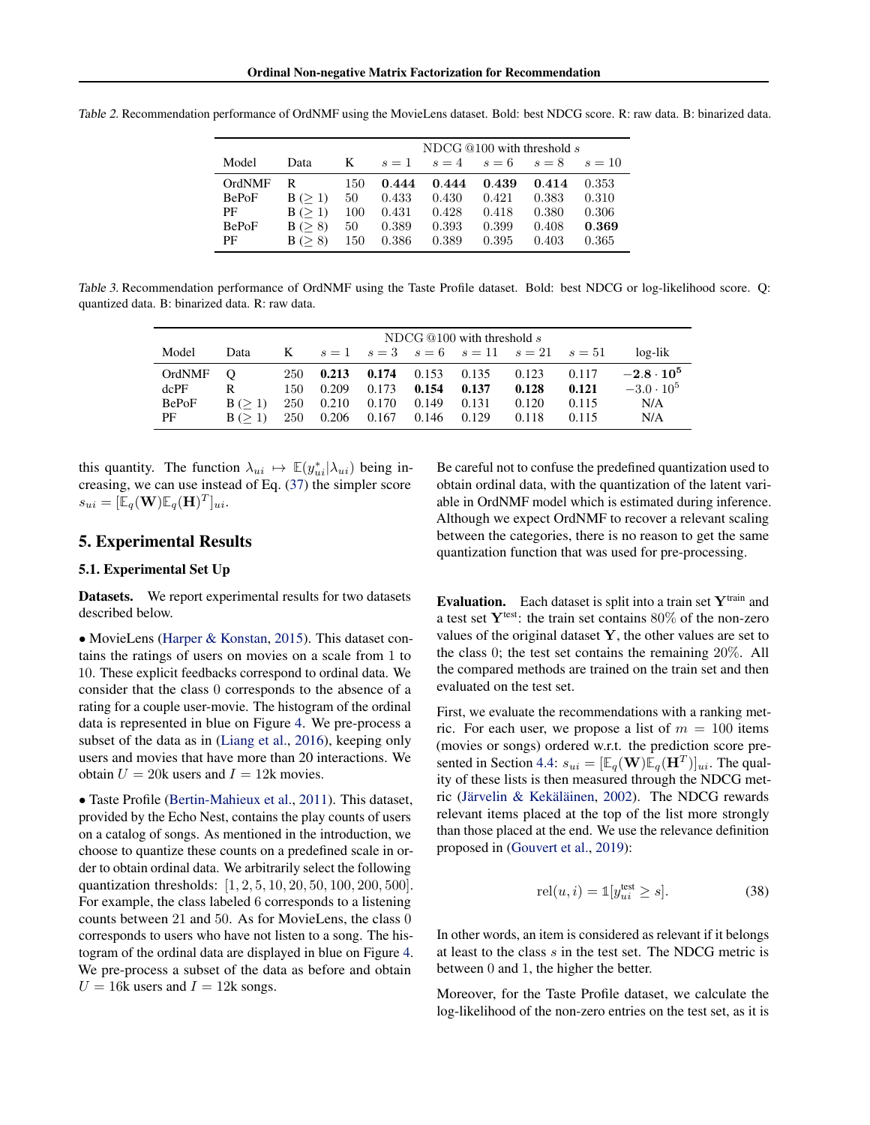|              |                | NDCG $@100$ with threshold s |       |       |       |       |          |
|--------------|----------------|------------------------------|-------|-------|-------|-------|----------|
| Model        | Data           | K                            | $s=1$ | $s=4$ | $s=6$ | $s=8$ | $s = 10$ |
| OrdNMF       | R              | 150                          | 0.444 | 0.444 | 0.439 | 0.414 | 0.353    |
| <b>BePoF</b> | B (> 1)        | 50                           | 0.433 | 0.430 | 0.421 | 0.383 | 0.310    |
| PF           | B (> 1)        | 100                          | 0.431 | 0.428 | 0.418 | 0.380 | 0.306    |
| <b>BePoF</b> | B (> 8)        | 50                           | 0.389 | 0.393 | 0.399 | 0.408 | 0.369    |
| PF           | 8)<br>$B \geq$ | 150                          | 0.386 | 0.389 | 0.395 | 0.403 | 0.365    |

<span id="page-6-0"></span>Table 2. Recommendation performance of OrdNMF using the MovieLens dataset. Bold: best NDCG score. R: raw data. B: binarized data.

Table 3. Recommendation performance of OrdNMF using the Taste Profile dataset. Bold: best NDCG or log-likelihood score. Q: quantized data. B: binarized data. R: raw data.

|              |          | NDCG $@100$ with threshold s |       |       |       |       |                                        |       |                   |
|--------------|----------|------------------------------|-------|-------|-------|-------|----------------------------------------|-------|-------------------|
| Model        | Data     | K                            |       |       |       |       | $s=1$ $s=3$ $s=6$ $s=11$ $s=21$ $s=51$ |       | log-lik           |
| OrdNMF       | $\Omega$ | 250                          | 0.213 | 0.174 | 0.153 | 0.135 | 0.123                                  | 0.117 | $-2.8 \cdot 10^5$ |
| dcPF         | R        | 150                          | 0.209 | 0.173 | 0.154 | 0.137 | 0.128                                  | 0.121 | $-3.0 \cdot 10^5$ |
| <b>BePoF</b> | B (> 1)  | 250                          | 0.210 | 0.170 | 0.149 | 0.131 | 0.120                                  | 0.115 | N/A               |
| PF           | B (> 1)  | 250                          | 0.206 | 0.167 | 0.146 | 0.129 | 0.118                                  | 0.115 | N/A               |

this quantity. The function  $\lambda_{ui} \mapsto \mathbb{E}(y_{ui}^*|\lambda_{ui})$  being increasing, we can use instead of Eq. [\(37\)](#page-5-0) the simpler score  $s_{ui} = [\mathbb{E}_q(\mathbf{W}) \mathbb{E}_q(\mathbf{H})^T]_{ui}.$ 

# 5. Experimental Results

## 5.1. Experimental Set Up

Datasets. We report experimental results for two datasets described below.

• MovieLens [\(Harper & Konstan,](#page-8-0) [2015\)](#page-8-0). This dataset contains the ratings of users on movies on a scale from 1 to 10. These explicit feedbacks correspond to ordinal data. We consider that the class 0 corresponds to the absence of a rating for a couple user-movie. The histogram of the ordinal data is represented in blue on Figure [4.](#page-7-0) We pre-process a subset of the data as in [\(Liang et al.,](#page-9-0) [2016\)](#page-9-0), keeping only users and movies that have more than 20 interactions. We obtain  $U = 20k$  users and  $I = 12k$  movies.

• Taste Profile [\(Bertin-Mahieux et al.,](#page-8-0) [2011\)](#page-8-0). This dataset, provided by the Echo Nest, contains the play counts of users on a catalog of songs. As mentioned in the introduction, we choose to quantize these counts on a predefined scale in order to obtain ordinal data. We arbitrarily select the following quantization thresholds: [1, 2, 5, 10, 20, 50, 100, 200, 500]. For example, the class labeled 6 corresponds to a listening counts between 21 and 50. As for MovieLens, the class 0 corresponds to users who have not listen to a song. The histogram of the ordinal data are displayed in blue on Figure [4.](#page-7-0) We pre-process a subset of the data as before and obtain  $U = 16k$  users and  $I = 12k$  songs.

Be careful not to confuse the predefined quantization used to obtain ordinal data, with the quantization of the latent variable in OrdNMF model which is estimated during inference. Although we expect OrdNMF to recover a relevant scaling between the categories, there is no reason to get the same quantization function that was used for pre-processing.

Evaluation. Each dataset is split into a train set  $Y^{train}$  and a test set  $Y<sup>test</sup>$ : the train set contains 80% of the non-zero values of the original dataset  $Y$ , the other values are set to the class 0; the test set contains the remaining 20%. All the compared methods are trained on the train set and then evaluated on the test set.

First, we evaluate the recommendations with a ranking metric. For each user, we propose a list of  $m = 100$  items (movies or songs) ordered w.r.t. the prediction score pre-sented in Section [4.4:](#page-5-0)  $s_{ui} = [\mathbb{E}_q(\mathbf{W}) \mathbb{E}_q(\mathbf{H}^T)]_{ui}$ . The quality of these lists is then measured through the NDCG metric [\(Järvelin & Kekäläinen,](#page-8-0) [2002\)](#page-8-0). The NDCG rewards relevant items placed at the top of the list more strongly than those placed at the end. We use the relevance definition proposed in [\(Gouvert et al.,](#page-8-0) [2019\)](#page-8-0):

$$
rel(u, i) = \mathbb{1}[y_{ui}^{\text{test}} \ge s]. \tag{38}
$$

In other words, an item is considered as relevant if it belongs at least to the class  $s$  in the test set. The NDCG metric is between 0 and 1, the higher the better.

Moreover, for the Taste Profile dataset, we calculate the log-likelihood of the non-zero entries on the test set, as it is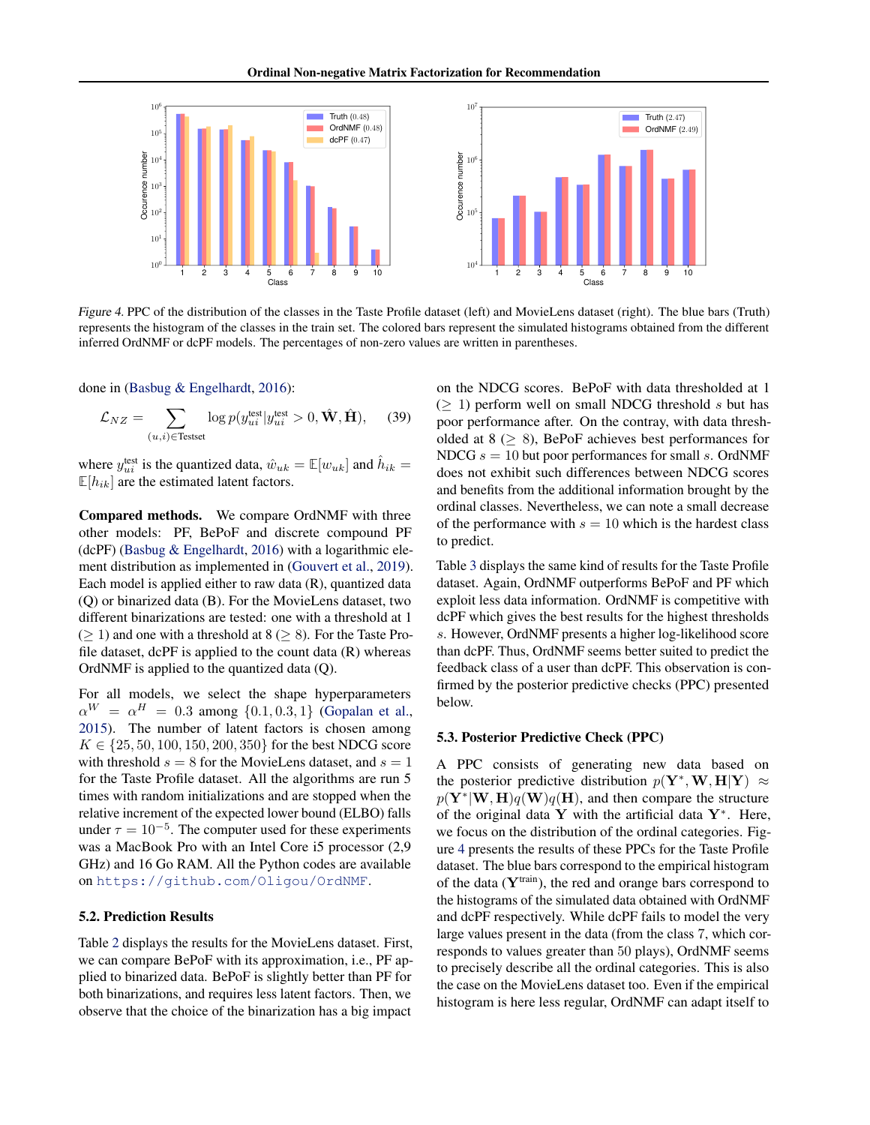<span id="page-7-0"></span>

Figure 4. PPC of the distribution of the classes in the Taste Profile dataset (left) and MovieLens dataset (right). The blue bars (Truth) represents the histogram of the classes in the train set. The colored bars represent the simulated histograms obtained from the different inferred OrdNMF or dcPF models. The percentages of non-zero values are written in parentheses.

done in [\(Basbug & Engelhardt,](#page-8-0) [2016\)](#page-8-0):

$$
\mathcal{L}_{NZ} = \sum_{(u,i) \in \text{Testset}} \log p(y_{ui}^{\text{test}} | y_{ui}^{\text{test}} > 0, \hat{\mathbf{W}}, \hat{\mathbf{H}}), \quad (39)
$$

where  $y_{ui}^{\text{test}}$  is the quantized data,  $\hat{w}_{uk} = \mathbb{E}[w_{uk}]$  and  $\hat{h}_{ik} =$  $\mathbb{E}[h_{ik}]$  are the estimated latent factors.

Compared methods. We compare OrdNMF with three other models: PF, BePoF and discrete compound PF  $(dcPF)$  [\(Basbug & Engelhardt,](#page-8-0) [2016\)](#page-8-0) with a logarithmic element distribution as implemented in [\(Gouvert et al.,](#page-8-0) [2019\)](#page-8-0). Each model is applied either to raw data (R), quantized data (Q) or binarized data (B). For the MovieLens dataset, two different binarizations are tested: one with a threshold at 1  $(> 1)$  and one with a threshold at 8 ( $> 8$ ). For the Taste Profile dataset,  $d$ cPF is applied to the count data  $(R)$  whereas OrdNMF is applied to the quantized data (Q).

For all models, we select the shape hyperparameters  $\alpha^{W} = \alpha^{H} = 0.3$  among  $\{0.1, 0.3, 1\}$  [\(Gopalan et al.,](#page-8-0) [2015\)](#page-8-0). The number of latent factors is chosen among  $K \in \{25, 50, 100, 150, 200, 350\}$  for the best NDCG score with threshold  $s = 8$  for the MovieLens dataset, and  $s = 1$ for the Taste Profile dataset. All the algorithms are run 5 times with random initializations and are stopped when the relative increment of the expected lower bound (ELBO) falls under  $\tau = 10^{-5}$ . The computer used for these experiments was a MacBook Pro with an Intel Core i5 processor (2,9 GHz) and 16 Go RAM. All the Python codes are available on <https://github.com/Oligou/OrdNMF>.

### 5.2. Prediction Results

Table [2](#page-6-0) displays the results for the MovieLens dataset. First, we can compare BePoF with its approximation, i.e., PF applied to binarized data. BePoF is slightly better than PF for both binarizations, and requires less latent factors. Then, we observe that the choice of the binarization has a big impact

on the NDCG scores. BePoF with data thresholded at 1  $(> 1)$  perform well on small NDCG threshold s but has poor performance after. On the contray, with data thresholded at  $8 \geq 8$ ), BePoF achieves best performances for NDCG  $s = 10$  but poor performances for small s. OrdNMF does not exhibit such differences between NDCG scores and benefits from the additional information brought by the ordinal classes. Nevertheless, we can note a small decrease of the performance with  $s = 10$  which is the hardest class to predict.

Table [3](#page-6-0) displays the same kind of results for the Taste Profile dataset. Again, OrdNMF outperforms BePoF and PF which exploit less data information. OrdNMF is competitive with dcPF which gives the best results for the highest thresholds s. However, OrdNMF presents a higher log-likelihood score than dcPF. Thus, OrdNMF seems better suited to predict the feedback class of a user than dcPF. This observation is confirmed by the posterior predictive checks (PPC) presented below.

## 5.3. Posterior Predictive Check (PPC)

A PPC consists of generating new data based on the posterior predictive distribution  $p(Y^*, W, H|Y) \approx$  $p(Y^*|W, H)q(W)q(H)$ , and then compare the structure of the original data Y with the artificial data  $Y^*$ . Here, we focus on the distribution of the ordinal categories. Figure 4 presents the results of these PPCs for the Taste Profile dataset. The blue bars correspond to the empirical histogram of the data  $(Y<sup>train</sup>)$ , the red and orange bars correspond to the histograms of the simulated data obtained with OrdNMF and dcPF respectively. While dcPF fails to model the very large values present in the data (from the class 7, which corresponds to values greater than 50 plays), OrdNMF seems to precisely describe all the ordinal categories. This is also the case on the MovieLens dataset too. Even if the empirical histogram is here less regular, OrdNMF can adapt itself to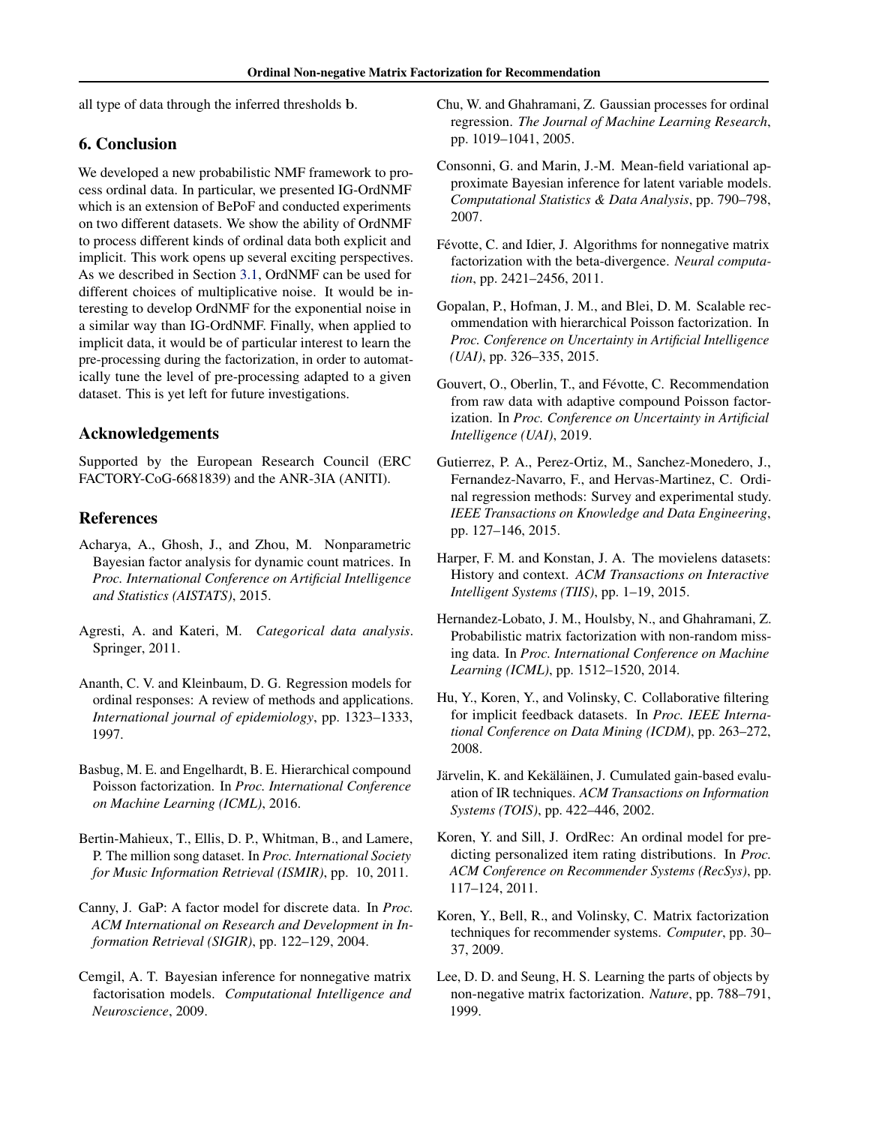<span id="page-8-0"></span>all type of data through the inferred thresholds b.

# 6. Conclusion

We developed a new probabilistic NMF framework to process ordinal data. In particular, we presented IG-OrdNMF which is an extension of BePoF and conducted experiments on two different datasets. We show the ability of OrdNMF to process different kinds of ordinal data both explicit and implicit. This work opens up several exciting perspectives. As we described in Section [3.1,](#page-3-0) OrdNMF can be used for different choices of multiplicative noise. It would be interesting to develop OrdNMF for the exponential noise in a similar way than IG-OrdNMF. Finally, when applied to implicit data, it would be of particular interest to learn the pre-processing during the factorization, in order to automatically tune the level of pre-processing adapted to a given dataset. This is yet left for future investigations.

# Acknowledgements

Supported by the European Research Council (ERC FACTORY-CoG-6681839) and the ANR-3IA (ANITI).

# References

- Acharya, A., Ghosh, J., and Zhou, M. Nonparametric Bayesian factor analysis for dynamic count matrices. In *Proc. International Conference on Artificial Intelligence and Statistics (AISTATS)*, 2015.
- Agresti, A. and Kateri, M. *Categorical data analysis*. Springer, 2011.
- Ananth, C. V. and Kleinbaum, D. G. Regression models for ordinal responses: A review of methods and applications. *International journal of epidemiology*, pp. 1323–1333, 1997.
- Basbug, M. E. and Engelhardt, B. E. Hierarchical compound Poisson factorization. In *Proc. International Conference on Machine Learning (ICML)*, 2016.
- Bertin-Mahieux, T., Ellis, D. P., Whitman, B., and Lamere, P. The million song dataset. In *Proc. International Society for Music Information Retrieval (ISMIR)*, pp. 10, 2011.
- Canny, J. GaP: A factor model for discrete data. In *Proc. ACM International on Research and Development in Information Retrieval (SIGIR)*, pp. 122–129, 2004.
- Cemgil, A. T. Bayesian inference for nonnegative matrix factorisation models. *Computational Intelligence and Neuroscience*, 2009.
- Chu, W. and Ghahramani, Z. Gaussian processes for ordinal regression. *The Journal of Machine Learning Research*, pp. 1019–1041, 2005.
- Consonni, G. and Marin, J.-M. Mean-field variational approximate Bayesian inference for latent variable models. *Computational Statistics & Data Analysis*, pp. 790–798, 2007.
- Févotte, C. and Idier, J. Algorithms for nonnegative matrix factorization with the beta-divergence. *Neural computation*, pp. 2421–2456, 2011.
- Gopalan, P., Hofman, J. M., and Blei, D. M. Scalable recommendation with hierarchical Poisson factorization. In *Proc. Conference on Uncertainty in Artificial Intelligence (UAI)*, pp. 326–335, 2015.
- Gouvert, O., Oberlin, T., and Févotte, C. Recommendation from raw data with adaptive compound Poisson factorization. In *Proc. Conference on Uncertainty in Artificial Intelligence (UAI)*, 2019.
- Gutierrez, P. A., Perez-Ortiz, M., Sanchez-Monedero, J., Fernandez-Navarro, F., and Hervas-Martinez, C. Ordinal regression methods: Survey and experimental study. *IEEE Transactions on Knowledge and Data Engineering*, pp. 127–146, 2015.
- Harper, F. M. and Konstan, J. A. The movielens datasets: History and context. *ACM Transactions on Interactive Intelligent Systems (TIIS)*, pp. 1–19, 2015.
- Hernandez-Lobato, J. M., Houlsby, N., and Ghahramani, Z. Probabilistic matrix factorization with non-random missing data. In *Proc. International Conference on Machine Learning (ICML)*, pp. 1512–1520, 2014.
- Hu, Y., Koren, Y., and Volinsky, C. Collaborative filtering for implicit feedback datasets. In *Proc. IEEE International Conference on Data Mining (ICDM)*, pp. 263–272, 2008.
- Järvelin, K. and Kekäläinen, J. Cumulated gain-based evaluation of IR techniques. *ACM Transactions on Information Systems (TOIS)*, pp. 422–446, 2002.
- Koren, Y. and Sill, J. OrdRec: An ordinal model for predicting personalized item rating distributions. In *Proc. ACM Conference on Recommender Systems (RecSys)*, pp. 117–124, 2011.
- Koren, Y., Bell, R., and Volinsky, C. Matrix factorization techniques for recommender systems. *Computer*, pp. 30– 37, 2009.
- Lee, D. D. and Seung, H. S. Learning the parts of objects by non-negative matrix factorization. *Nature*, pp. 788–791, 1999.